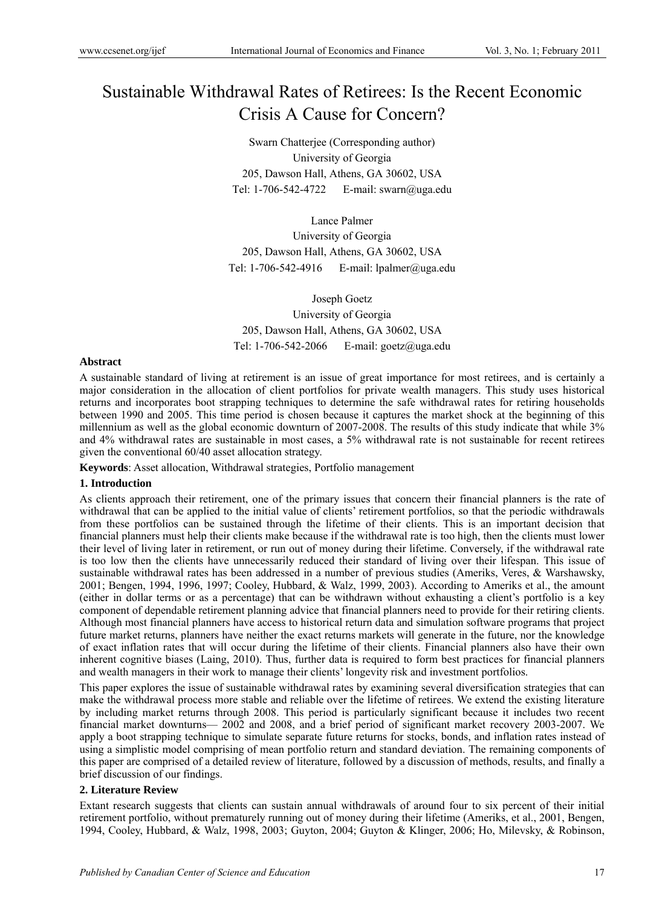# Sustainable Withdrawal Rates of Retirees: Is the Recent Economic Crisis A Cause for Concern?

Swarn Chatterjee (Corresponding author) University of Georgia 205, Dawson Hall, Athens, GA 30602, USA Tel: 1-706-542-4722 E-mail: swarn@uga.edu

Lance Palmer University of Georgia 205, Dawson Hall, Athens, GA 30602, USA Tel: 1-706-542-4916 E-mail: lpalmer@uga.edu

Joseph Goetz University of Georgia 205, Dawson Hall, Athens, GA 30602, USA Tel: 1-706-542-2066 E-mail: goetz@uga.edu

#### **Abstract**

A sustainable standard of living at retirement is an issue of great importance for most retirees, and is certainly a major consideration in the allocation of client portfolios for private wealth managers. This study uses historical returns and incorporates boot strapping techniques to determine the safe withdrawal rates for retiring households between 1990 and 2005. This time period is chosen because it captures the market shock at the beginning of this millennium as well as the global economic downturn of 2007-2008. The results of this study indicate that while 3% and 4% withdrawal rates are sustainable in most cases, a 5% withdrawal rate is not sustainable for recent retirees given the conventional 60/40 asset allocation strategy.

**Keywords**: Asset allocation, Withdrawal strategies, Portfolio management

#### **1. Introduction**

As clients approach their retirement, one of the primary issues that concern their financial planners is the rate of withdrawal that can be applied to the initial value of clients' retirement portfolios, so that the periodic withdrawals from these portfolios can be sustained through the lifetime of their clients. This is an important decision that financial planners must help their clients make because if the withdrawal rate is too high, then the clients must lower their level of living later in retirement, or run out of money during their lifetime. Conversely, if the withdrawal rate is too low then the clients have unnecessarily reduced their standard of living over their lifespan. This issue of sustainable withdrawal rates has been addressed in a number of previous studies (Ameriks, Veres, & Warshawsky, 2001; Bengen, 1994, 1996, 1997; Cooley, Hubbard, & Walz, 1999, 2003). According to Ameriks et al., the amount (either in dollar terms or as a percentage) that can be withdrawn without exhausting a client's portfolio is a key component of dependable retirement planning advice that financial planners need to provide for their retiring clients. Although most financial planners have access to historical return data and simulation software programs that project future market returns, planners have neither the exact returns markets will generate in the future, nor the knowledge of exact inflation rates that will occur during the lifetime of their clients. Financial planners also have their own inherent cognitive biases (Laing, 2010). Thus, further data is required to form best practices for financial planners and wealth managers in their work to manage their clients' longevity risk and investment portfolios.

This paper explores the issue of sustainable withdrawal rates by examining several diversification strategies that can make the withdrawal process more stable and reliable over the lifetime of retirees. We extend the existing literature by including market returns through 2008. This period is particularly significant because it includes two recent financial market downturns— 2002 and 2008, and a brief period of significant market recovery 2003-2007. We apply a boot strapping technique to simulate separate future returns for stocks, bonds, and inflation rates instead of using a simplistic model comprising of mean portfolio return and standard deviation. The remaining components of this paper are comprised of a detailed review of literature, followed by a discussion of methods, results, and finally a brief discussion of our findings.

#### **2. Literature Review**

Extant research suggests that clients can sustain annual withdrawals of around four to six percent of their initial retirement portfolio, without prematurely running out of money during their lifetime (Ameriks, et al., 2001, Bengen, 1994, Cooley, Hubbard, & Walz, 1998, 2003; Guyton, 2004; Guyton & Klinger, 2006; Ho, Milevsky, & Robinson,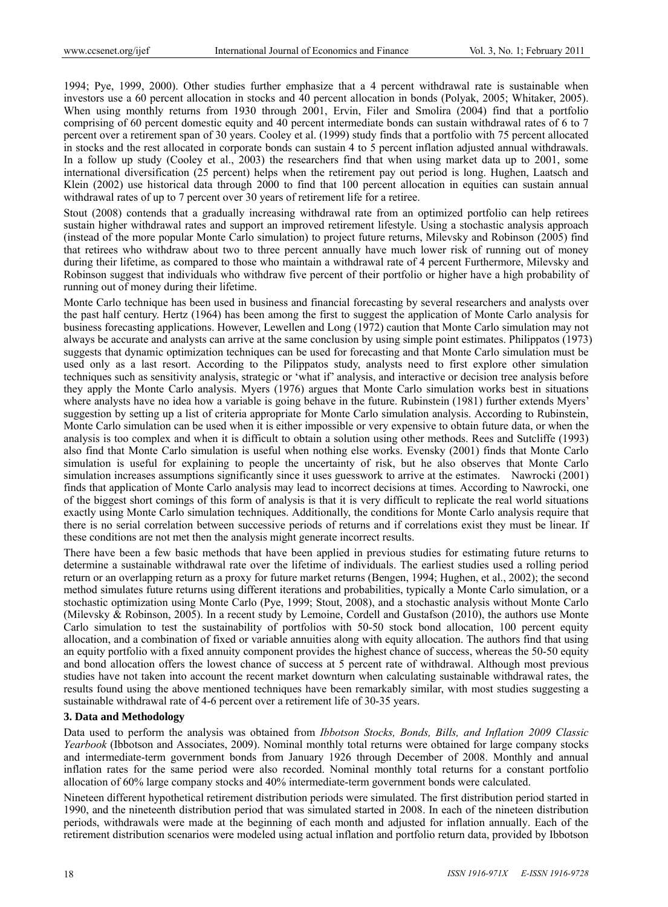1994; Pye, 1999, 2000). Other studies further emphasize that a 4 percent withdrawal rate is sustainable when investors use a 60 percent allocation in stocks and 40 percent allocation in bonds (Polyak, 2005; Whitaker, 2005). When using monthly returns from 1930 through 2001, Ervin, Filer and Smolira (2004) find that a portfolio comprising of 60 percent domestic equity and 40 percent intermediate bonds can sustain withdrawal rates of 6 to 7 percent over a retirement span of 30 years. Cooley et al. (1999) study finds that a portfolio with 75 percent allocated in stocks and the rest allocated in corporate bonds can sustain 4 to 5 percent inflation adjusted annual withdrawals. In a follow up study (Cooley et al., 2003) the researchers find that when using market data up to 2001, some international diversification (25 percent) helps when the retirement pay out period is long. Hughen, Laatsch and Klein (2002) use historical data through 2000 to find that 100 percent allocation in equities can sustain annual withdrawal rates of up to 7 percent over 30 years of retirement life for a retiree.

Stout (2008) contends that a gradually increasing withdrawal rate from an optimized portfolio can help retirees sustain higher withdrawal rates and support an improved retirement lifestyle. Using a stochastic analysis approach (instead of the more popular Monte Carlo simulation) to project future returns, Milevsky and Robinson (2005) find that retirees who withdraw about two to three percent annually have much lower risk of running out of money during their lifetime, as compared to those who maintain a withdrawal rate of 4 percent Furthermore, Milevsky and Robinson suggest that individuals who withdraw five percent of their portfolio or higher have a high probability of running out of money during their lifetime.

Monte Carlo technique has been used in business and financial forecasting by several researchers and analysts over the past half century. Hertz (1964) has been among the first to suggest the application of Monte Carlo analysis for business forecasting applications. However, Lewellen and Long (1972) caution that Monte Carlo simulation may not always be accurate and analysts can arrive at the same conclusion by using simple point estimates. Philippatos (1973) suggests that dynamic optimization techniques can be used for forecasting and that Monte Carlo simulation must be used only as a last resort. According to the Pilippatos study, analysts need to first explore other simulation techniques such as sensitivity analysis, strategic or 'what if' analysis, and interactive or decision tree analysis before they apply the Monte Carlo analysis. Myers (1976) argues that Monte Carlo simulation works best in situations where analysts have no idea how a variable is going behave in the future. Rubinstein (1981) further extends Myers' suggestion by setting up a list of criteria appropriate for Monte Carlo simulation analysis. According to Rubinstein, Monte Carlo simulation can be used when it is either impossible or very expensive to obtain future data, or when the analysis is too complex and when it is difficult to obtain a solution using other methods. Rees and Sutcliffe (1993) also find that Monte Carlo simulation is useful when nothing else works. Evensky (2001) finds that Monte Carlo simulation is useful for explaining to people the uncertainty of risk, but he also observes that Monte Carlo simulation increases assumptions significantly since it uses guesswork to arrive at the estimates. Nawrocki (2001) finds that application of Monte Carlo analysis may lead to incorrect decisions at times. According to Nawrocki, one of the biggest short comings of this form of analysis is that it is very difficult to replicate the real world situations exactly using Monte Carlo simulation techniques. Additionally, the conditions for Monte Carlo analysis require that there is no serial correlation between successive periods of returns and if correlations exist they must be linear. If these conditions are not met then the analysis might generate incorrect results.

There have been a few basic methods that have been applied in previous studies for estimating future returns to determine a sustainable withdrawal rate over the lifetime of individuals. The earliest studies used a rolling period return or an overlapping return as a proxy for future market returns (Bengen, 1994; Hughen, et al., 2002); the second method simulates future returns using different iterations and probabilities, typically a Monte Carlo simulation, or a stochastic optimization using Monte Carlo (Pye, 1999; Stout, 2008), and a stochastic analysis without Monte Carlo (Milevsky & Robinson, 2005). In a recent study by Lemoine, Cordell and Gustafson (2010), the authors use Monte Carlo simulation to test the sustainability of portfolios with 50-50 stock bond allocation, 100 percent equity allocation, and a combination of fixed or variable annuities along with equity allocation. The authors find that using an equity portfolio with a fixed annuity component provides the highest chance of success, whereas the 50-50 equity and bond allocation offers the lowest chance of success at 5 percent rate of withdrawal. Although most previous studies have not taken into account the recent market downturn when calculating sustainable withdrawal rates, the results found using the above mentioned techniques have been remarkably similar, with most studies suggesting a sustainable withdrawal rate of 4-6 percent over a retirement life of 30-35 years.

## **3. Data and Methodology**

Data used to perform the analysis was obtained from *Ibbotson Stocks, Bonds, Bills, and Inflation 2009 Classic Yearbook* (Ibbotson and Associates, 2009). Nominal monthly total returns were obtained for large company stocks and intermediate-term government bonds from January 1926 through December of 2008. Monthly and annual inflation rates for the same period were also recorded. Nominal monthly total returns for a constant portfolio allocation of 60% large company stocks and 40% intermediate-term government bonds were calculated.

Nineteen different hypothetical retirement distribution periods were simulated. The first distribution period started in 1990, and the nineteenth distribution period that was simulated started in 2008. In each of the nineteen distribution periods, withdrawals were made at the beginning of each month and adjusted for inflation annually. Each of the retirement distribution scenarios were modeled using actual inflation and portfolio return data, provided by Ibbotson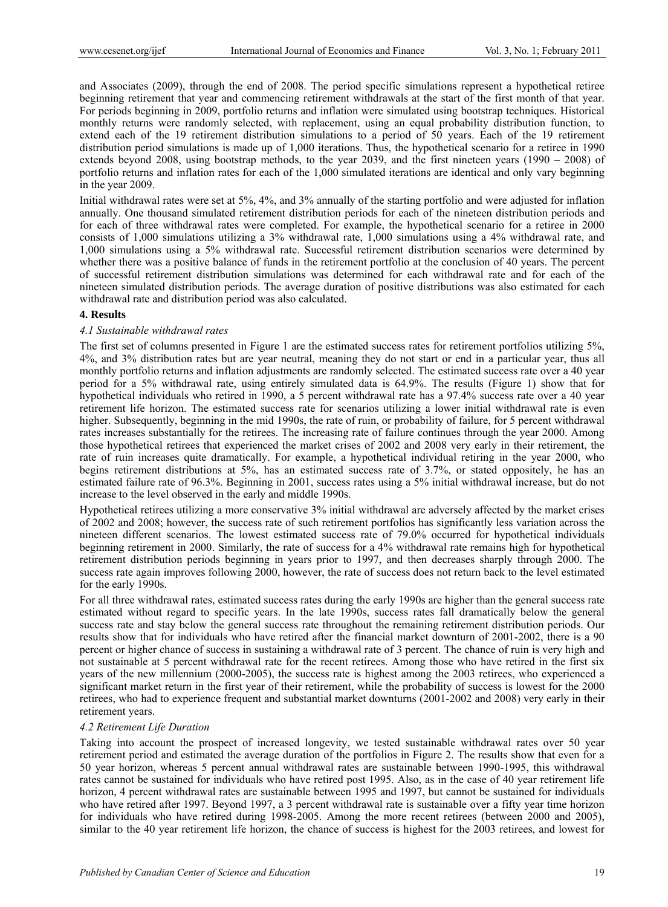and Associates (2009), through the end of 2008. The period specific simulations represent a hypothetical retiree beginning retirement that year and commencing retirement withdrawals at the start of the first month of that year. For periods beginning in 2009, portfolio returns and inflation were simulated using bootstrap techniques. Historical monthly returns were randomly selected, with replacement, using an equal probability distribution function, to extend each of the 19 retirement distribution simulations to a period of 50 years. Each of the 19 retirement distribution period simulations is made up of 1,000 iterations. Thus, the hypothetical scenario for a retiree in 1990 extends beyond 2008, using bootstrap methods, to the year 2039, and the first nineteen years (1990 – 2008) of portfolio returns and inflation rates for each of the 1,000 simulated iterations are identical and only vary beginning in the year 2009.

Initial withdrawal rates were set at 5%, 4%, and 3% annually of the starting portfolio and were adjusted for inflation annually. One thousand simulated retirement distribution periods for each of the nineteen distribution periods and for each of three withdrawal rates were completed. For example, the hypothetical scenario for a retiree in 2000 consists of 1,000 simulations utilizing a 3% withdrawal rate, 1,000 simulations using a 4% withdrawal rate, and 1,000 simulations using a 5% withdrawal rate. Successful retirement distribution scenarios were determined by whether there was a positive balance of funds in the retirement portfolio at the conclusion of 40 years. The percent of successful retirement distribution simulations was determined for each withdrawal rate and for each of the nineteen simulated distribution periods. The average duration of positive distributions was also estimated for each withdrawal rate and distribution period was also calculated.

# **4. Results**

#### *4.1 Sustainable withdrawal rates*

The first set of columns presented in Figure 1 are the estimated success rates for retirement portfolios utilizing 5%, 4%, and 3% distribution rates but are year neutral, meaning they do not start or end in a particular year, thus all monthly portfolio returns and inflation adjustments are randomly selected. The estimated success rate over a 40 year period for a 5% withdrawal rate, using entirely simulated data is 64.9%. The results (Figure 1) show that for hypothetical individuals who retired in 1990, a 5 percent withdrawal rate has a 97.4% success rate over a 40 year retirement life horizon. The estimated success rate for scenarios utilizing a lower initial withdrawal rate is even higher. Subsequently, beginning in the mid 1990s, the rate of ruin, or probability of failure, for 5 percent withdrawal rates increases substantially for the retirees. The increasing rate of failure continues through the year 2000. Among those hypothetical retirees that experienced the market crises of 2002 and 2008 very early in their retirement, the rate of ruin increases quite dramatically. For example, a hypothetical individual retiring in the year 2000, who begins retirement distributions at 5%, has an estimated success rate of 3.7%, or stated oppositely, he has an estimated failure rate of 96.3%. Beginning in 2001, success rates using a 5% initial withdrawal increase, but do not increase to the level observed in the early and middle 1990s.

Hypothetical retirees utilizing a more conservative 3% initial withdrawal are adversely affected by the market crises of 2002 and 2008; however, the success rate of such retirement portfolios has significantly less variation across the nineteen different scenarios. The lowest estimated success rate of 79.0% occurred for hypothetical individuals beginning retirement in 2000. Similarly, the rate of success for a 4% withdrawal rate remains high for hypothetical retirement distribution periods beginning in years prior to 1997, and then decreases sharply through 2000. The success rate again improves following 2000, however, the rate of success does not return back to the level estimated for the early 1990s.

For all three withdrawal rates, estimated success rates during the early 1990s are higher than the general success rate estimated without regard to specific years. In the late 1990s, success rates fall dramatically below the general success rate and stay below the general success rate throughout the remaining retirement distribution periods. Our results show that for individuals who have retired after the financial market downturn of 2001-2002, there is a 90 percent or higher chance of success in sustaining a withdrawal rate of 3 percent. The chance of ruin is very high and not sustainable at 5 percent withdrawal rate for the recent retirees. Among those who have retired in the first six years of the new millennium (2000-2005), the success rate is highest among the 2003 retirees, who experienced a significant market return in the first year of their retirement, while the probability of success is lowest for the 2000 retirees, who had to experience frequent and substantial market downturns (2001-2002 and 2008) very early in their retirement years.

#### *4.2 Retirement Life Duration*

Taking into account the prospect of increased longevity, we tested sustainable withdrawal rates over 50 year retirement period and estimated the average duration of the portfolios in Figure 2. The results show that even for a 50 year horizon, whereas 5 percent annual withdrawal rates are sustainable between 1990-1995, this withdrawal rates cannot be sustained for individuals who have retired post 1995. Also, as in the case of 40 year retirement life horizon, 4 percent withdrawal rates are sustainable between 1995 and 1997, but cannot be sustained for individuals who have retired after 1997. Beyond 1997, a 3 percent withdrawal rate is sustainable over a fifty year time horizon for individuals who have retired during 1998-2005. Among the more recent retirees (between 2000 and 2005), similar to the 40 year retirement life horizon, the chance of success is highest for the 2003 retirees, and lowest for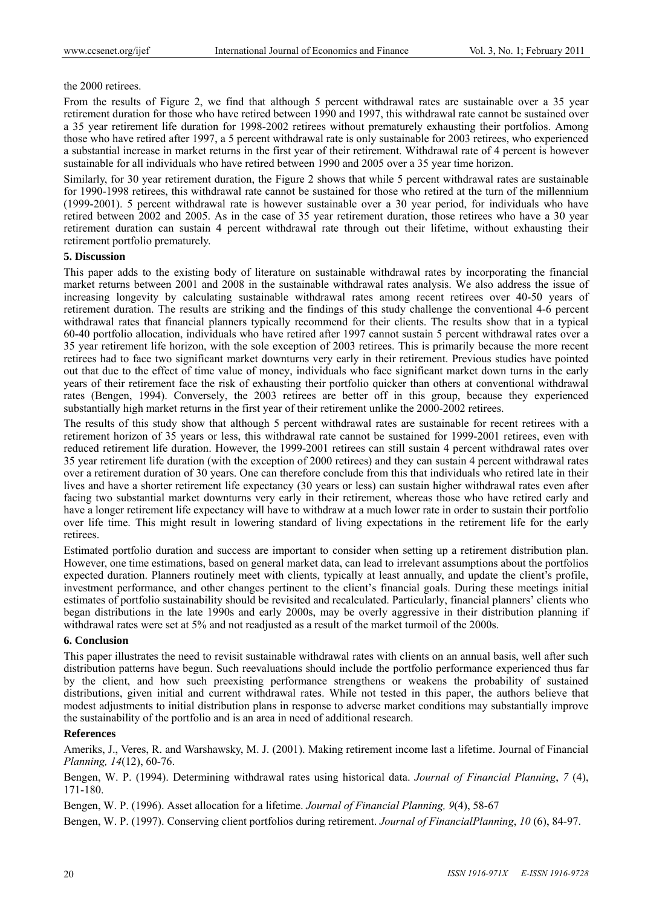#### the 2000 retirees.

From the results of Figure 2, we find that although 5 percent withdrawal rates are sustainable over a 35 year retirement duration for those who have retired between 1990 and 1997, this withdrawal rate cannot be sustained over a 35 year retirement life duration for 1998-2002 retirees without prematurely exhausting their portfolios. Among those who have retired after 1997, a 5 percent withdrawal rate is only sustainable for 2003 retirees, who experienced a substantial increase in market returns in the first year of their retirement. Withdrawal rate of 4 percent is however sustainable for all individuals who have retired between 1990 and 2005 over a 35 year time horizon.

Similarly, for 30 year retirement duration, the Figure 2 shows that while 5 percent withdrawal rates are sustainable for 1990-1998 retirees, this withdrawal rate cannot be sustained for those who retired at the turn of the millennium (1999-2001). 5 percent withdrawal rate is however sustainable over a 30 year period, for individuals who have retired between 2002 and 2005. As in the case of 35 year retirement duration, those retirees who have a 30 year retirement duration can sustain 4 percent withdrawal rate through out their lifetime, without exhausting their retirement portfolio prematurely.

# **5. Discussion**

This paper adds to the existing body of literature on sustainable withdrawal rates by incorporating the financial market returns between 2001 and 2008 in the sustainable withdrawal rates analysis. We also address the issue of increasing longevity by calculating sustainable withdrawal rates among recent retirees over 40-50 years of retirement duration. The results are striking and the findings of this study challenge the conventional 4-6 percent withdrawal rates that financial planners typically recommend for their clients. The results show that in a typical 60-40 portfolio allocation, individuals who have retired after 1997 cannot sustain 5 percent withdrawal rates over a 35 year retirement life horizon, with the sole exception of 2003 retirees. This is primarily because the more recent retirees had to face two significant market downturns very early in their retirement. Previous studies have pointed out that due to the effect of time value of money, individuals who face significant market down turns in the early years of their retirement face the risk of exhausting their portfolio quicker than others at conventional withdrawal rates (Bengen, 1994). Conversely, the 2003 retirees are better off in this group, because they experienced substantially high market returns in the first year of their retirement unlike the 2000-2002 retirees.

The results of this study show that although 5 percent withdrawal rates are sustainable for recent retirees with a retirement horizon of 35 years or less, this withdrawal rate cannot be sustained for 1999-2001 retirees, even with reduced retirement life duration. However, the 1999-2001 retirees can still sustain 4 percent withdrawal rates over 35 year retirement life duration (with the exception of 2000 retirees) and they can sustain 4 percent withdrawal rates over a retirement duration of 30 years. One can therefore conclude from this that individuals who retired late in their lives and have a shorter retirement life expectancy (30 years or less) can sustain higher withdrawal rates even after facing two substantial market downturns very early in their retirement, whereas those who have retired early and have a longer retirement life expectancy will have to withdraw at a much lower rate in order to sustain their portfolio over life time. This might result in lowering standard of living expectations in the retirement life for the early retirees.

Estimated portfolio duration and success are important to consider when setting up a retirement distribution plan. However, one time estimations, based on general market data, can lead to irrelevant assumptions about the portfolios expected duration. Planners routinely meet with clients, typically at least annually, and update the client's profile, investment performance, and other changes pertinent to the client's financial goals. During these meetings initial estimates of portfolio sustainability should be revisited and recalculated. Particularly, financial planners' clients who began distributions in the late 1990s and early 2000s, may be overly aggressive in their distribution planning if withdrawal rates were set at 5% and not readjusted as a result of the market turmoil of the 2000s.

## **6. Conclusion**

This paper illustrates the need to revisit sustainable withdrawal rates with clients on an annual basis, well after such distribution patterns have begun. Such reevaluations should include the portfolio performance experienced thus far by the client, and how such preexisting performance strengthens or weakens the probability of sustained distributions, given initial and current withdrawal rates. While not tested in this paper, the authors believe that modest adjustments to initial distribution plans in response to adverse market conditions may substantially improve the sustainability of the portfolio and is an area in need of additional research.

#### **References**

Ameriks, J., Veres, R. and Warshawsky, M. J. (2001). Making retirement income last a lifetime. Journal of Financial *Planning, 14*(12), 60-76.

Bengen, W. P. (1994). Determining withdrawal rates using historical data. *Journal of Financial Planning*, *7* (4), 171-180.

Bengen, W. P. (1996). Asset allocation for a lifetime. *Journal of Financial Planning, 9*(4), 58-67

Bengen, W. P. (1997). Conserving client portfolios during retirement. *Journal of FinancialPlanning*, *10* (6), 84-97.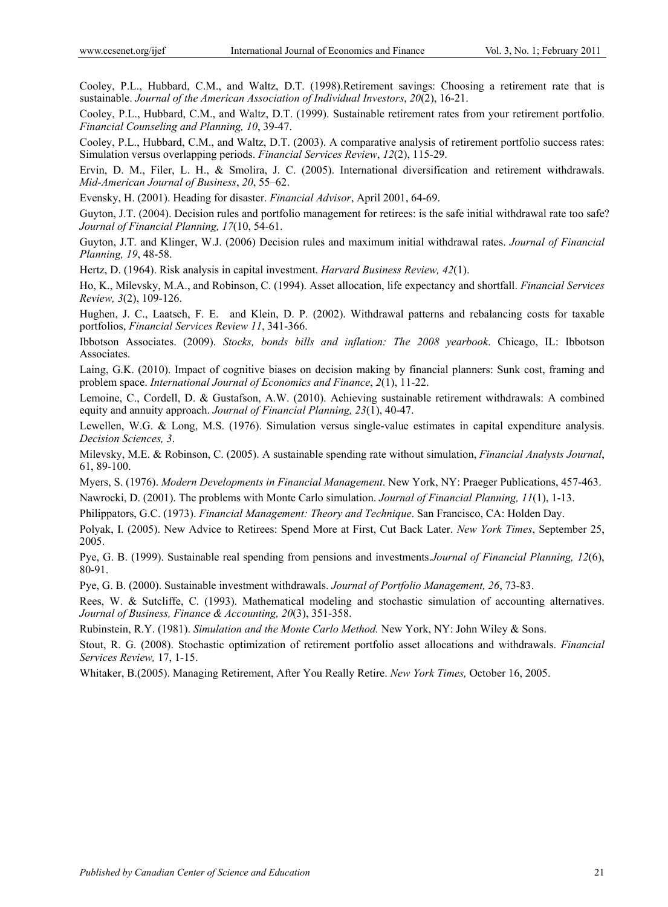Cooley, P.L., Hubbard, C.M., and Waltz, D.T. (1998).Retirement savings: Choosing a retirement rate that is sustainable. *Journal of the American Association of Individual Investors*, *20*(2), 16-21.

Cooley, P.L., Hubbard, C.M., and Waltz, D.T. (1999). Sustainable retirement rates from your retirement portfolio. *Financial Counseling and Planning, 10*, 39-47.

Cooley, P.L., Hubbard, C.M., and Waltz, D.T. (2003). A comparative analysis of retirement portfolio success rates: Simulation versus overlapping periods. *Financial Services Review*, *12*(2), 115-29.

Ervin, D. M., Filer, L. H., & Smolira, J. C. (2005). International diversification and retirement withdrawals. *Mid-American Journal of Business*, *20*, 55–62.

Evensky, H. (2001). Heading for disaster. *Financial Advisor*, April 2001, 64-69.

Guyton, J.T. (2004). Decision rules and portfolio management for retirees: is the safe initial withdrawal rate too safe? *Journal of Financial Planning, 17*(10, 54-61.

Guyton, J.T. and Klinger, W.J. (2006) Decision rules and maximum initial withdrawal rates. *Journal of Financial Planning, 19*, 48-58.

Hertz, D. (1964). Risk analysis in capital investment. *Harvard Business Review, 42*(1).

Ho, K., Milevsky, M.A., and Robinson, C. (1994). Asset allocation, life expectancy and shortfall. *Financial Services Review, 3*(2), 109-126.

Hughen, J. C., Laatsch, F. E. and Klein, D. P. (2002). Withdrawal patterns and rebalancing costs for taxable portfolios, *Financial Services Review 11*, 341-366.

Ibbotson Associates. (2009). *Stocks, bonds bills and inflation: The 2008 yearbook*. Chicago, IL: Ibbotson Associates.

Laing, G.K. (2010). Impact of cognitive biases on decision making by financial planners: Sunk cost, framing and problem space. *International Journal of Economics and Finance*, *2*(1), 11-22.

Lemoine, C., Cordell, D. & Gustafson, A.W. (2010). Achieving sustainable retirement withdrawals: A combined equity and annuity approach. *Journal of Financial Planning, 23*(1), 40-47.

Lewellen, W.G. & Long, M.S. (1976). Simulation versus single-value estimates in capital expenditure analysis. *Decision Sciences, 3*.

Milevsky, M.E. & Robinson, C. (2005). A sustainable spending rate without simulation, *Financial Analysts Journal*, 61, 89-100.

Myers, S. (1976). *Modern Developments in Financial Management*. New York, NY: Praeger Publications, 457-463.

Nawrocki, D. (2001). The problems with Monte Carlo simulation. *Journal of Financial Planning, 11*(1), 1-13.

Philippators, G.C. (1973). *Financial Management: Theory and Technique*. San Francisco, CA: Holden Day.

Polyak, I. (2005). New Advice to Retirees: Spend More at First, Cut Back Later. *New York Times*, September 25, 2005.

Pye, G. B. (1999). Sustainable real spending from pensions and investments.*Journal of Financial Planning, 12*(6), 80-91.

Pye, G. B. (2000). Sustainable investment withdrawals. *Journal of Portfolio Management, 26*, 73-83.

Rees, W. & Sutcliffe, C. (1993). Mathematical modeling and stochastic simulation of accounting alternatives. *Journal of Business, Finance & Accounting, 20*(3), 351-358.

Rubinstein, R.Y. (1981). *Simulation and the Monte Carlo Method.* New York, NY: John Wiley & Sons.

Stout, R. G. (2008). Stochastic optimization of retirement portfolio asset allocations and withdrawals. *Financial Services Review,* 17, 1-15.

Whitaker, B.(2005). Managing Retirement, After You Really Retire. *New York Times,* October 16, 2005.